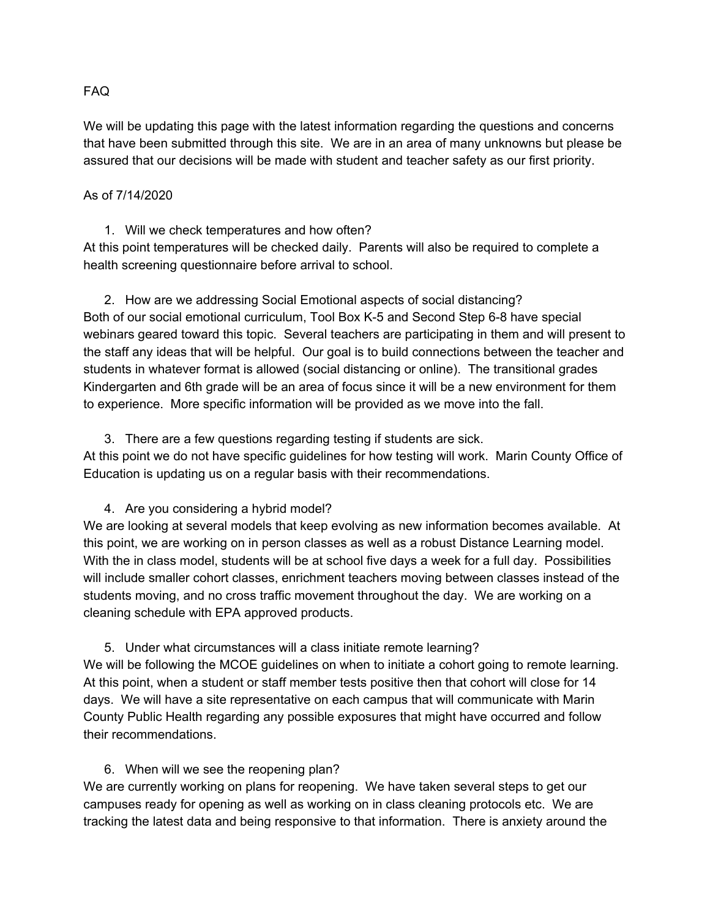#### FAQ

We will be updating this page with the latest information regarding the questions and concerns that have been submitted through this site. We are in an area of many unknowns but please be assured that our decisions will be made with student and teacher safety as our first priority.

#### As of 7/14/2020

1. Will we check temperatures and how often? At this point temperatures will be checked daily. Parents will also be required to complete a health screening questionnaire before arrival to school.

2. How are we addressing Social Emotional aspects of social distancing? Both of our social emotional curriculum, Tool Box K-5 and Second Step 6-8 have special webinars geared toward this topic. Several teachers are participating in them and will present to the staff any ideas that will be helpful. Our goal is to build connections between the teacher and students in whatever format is allowed (social distancing or online). The transitional grades Kindergarten and 6th grade will be an area of focus since it will be a new environment for them to experience. More specific information will be provided as we move into the fall.

## 3. There are a few questions regarding testing if students are sick.

At this point we do not have specific guidelines for how testing will work. Marin County Office of Education is updating us on a regular basis with their recommendations.

## 4. Are you considering a hybrid model?

We are looking at several models that keep evolving as new information becomes available. At this point, we are working on in person classes as well as a robust Distance Learning model. With the in class model, students will be at school five days a week for a full day. Possibilities will include smaller cohort classes, enrichment teachers moving between classes instead of the students moving, and no cross traffic movement throughout the day. We are working on a cleaning schedule with EPA approved products.

5. Under what circumstances will a class initiate remote learning? We will be following the MCOE guidelines on when to initiate a cohort going to remote learning. At this point, when a student or staff member tests positive then that cohort will close for 14 days. We will have a site representative on each campus that will communicate with Marin County Public Health regarding any possible exposures that might have occurred and follow their recommendations.

## 6. When will we see the reopening plan?

We are currently working on plans for reopening. We have taken several steps to get our campuses ready for opening as well as working on in class cleaning protocols etc. We are tracking the latest data and being responsive to that information. There is anxiety around the